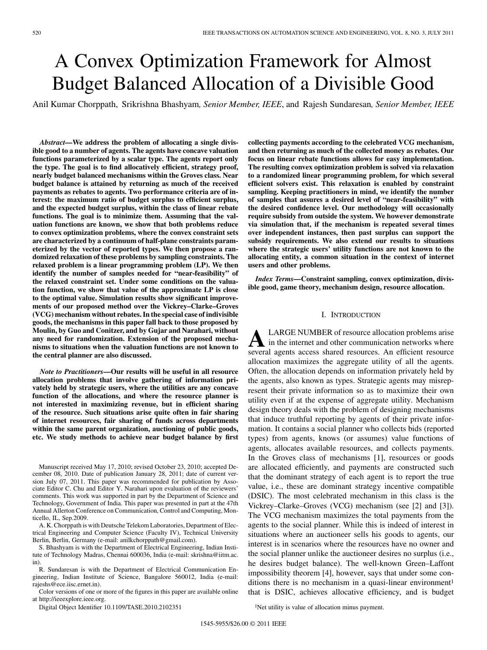# A Convex Optimization Framework for Almost Budget Balanced Allocation of a Divisible Good

Anil Kumar Chorppath, Srikrishna Bhashyam*, Senior Member, IEEE*, and Rajesh Sundaresan*, Senior Member, IEEE*

*Abstract—***We address the problem of allocating a single divisible good to a number of agents. The agents have concave valuation functions parameterized by a scalar type. The agents report only the type. The goal is to find allocatively efficient, strategy proof, nearly budget balanced mechanisms within the Groves class. Near budget balance is attained by returning as much of the received payments as rebates to agents. Two performance criteria are of interest: the maximum ratio of budget surplus to efficient surplus, and the expected budget surplus, within the class of linear rebate functions. The goal is to minimize them. Assuming that the valuation functions are known, we show that both problems reduce to convex optimization problems, where the convex constraint sets are characterized by a continuum of half-plane constraints parameterized by the vector of reported types. We then propose a randomized relaxation of these problems by sampling constraints. The relaxed problem is a linear programming problem (LP). We then identify the number of samples needed for "near-feasibility" of the relaxed constraint set. Under some conditions on the valuation function, we show that value of the approximate LP is close to the optimal value. Simulation results show significant improvements of our proposed method over the Vickrey–Clarke–Groves (VCG) mechanism without rebates. In the special case of indivisible goods, the mechanisms in this paper fall back to those proposed by Moulin, by Guo and Conitzer, and by Gujar and Narahari, without any need for randomization. Extension of the proposed mechanisms to situations when the valuation functions are not known to the central planner are also discussed.**

*Note to Practitioners***—Our results will be useful in all resource allocation problems that involve gathering of information privately held by strategic users, where the utilities are any concave function of the allocations, and where the resource planner is not interested in maximizing revenue, but in efficient sharing of the resource. Such situations arise quite often in fair sharing of internet resources, fair sharing of funds across departments within the same parent organization, auctioning of public goods, etc. We study methods to achieve near budget balance by first**

Manuscript received May 17, 2010; revised October 23, 2010; accepted December 08, 2010. Date of publication January 28, 2011; date of current version July 07, 2011. This paper was recommended for publication by Associate Editor C. Chu and Editor Y. Narahari upon evaluation of the reviewers' comments. This work was supported in part by the Department of Science and Technology, Government of India. This paper was presented in part at the 47th Annual Allerton Conference on Communication, Control and Computing, Monticello, IL, Sep.2009.

A. K. Chorppath is with Deutsche Telekom Laboratories, Department of Electrical Engineering and Computer Science (Faculty IV), Technical University Berlin, Berlin, Germany (e-mail: anilkchorppath@gmail.com).

S. Bhashyam is with the Department of Electrical Engineering, Indian Institute of Technology Madras, Chennai 600036, India (e-mail: skrishna@iitm.ac. in).

R. Sundaresan is with the Department of Electrical Communication Engineering, Indian Institute of Science, Bangalore 560012, India (e-mail: rajeshs@ece.iisc.ernet.in).

Color versions of one or more of the figures in this paper are available online at http://ieeexplore.ieee.org.

Digital Object Identifier 10.1109/TASE.2010.2102351

**collecting payments according to the celebrated VCG mechanism, and then returning as much of the collected money as rebates. Our focus on linear rebate functions allows for easy implementation. The resulting convex optimization problem is solved via relaxation to a randomized linear programming problem, for which several efficient solvers exist. This relaxation is enabled by constraint sampling. Keeping practitioners in mind, we identify the number of samples that assures a desired level of "near-feasibility" with the desired confidence level. Our methodology will occasionally require subsidy from outside the system. We however demonstrate via simulation that, if the mechanism is repeated several times over independent instances, then past surplus can support the subsidy requirements. We also extend our results to situations where the strategic users' utility functions are not known to the allocating entity, a common situation in the context of internet users and other problems.**

*Index Terms—***Constraint sampling, convex optimization, divisible good, game theory, mechanism design, resource allocation.**

## I. INTRODUCTION

ALARGE NUMBER of resource allocation problems arise<br>in the internet and other communication networks where<br>several agents access shared resources. An efficient resource several agents access shared resources. An efficient resource allocation maximizes the aggregate utility of all the agents. Often, the allocation depends on information privately held by the agents, also known as types. Strategic agents may misrepresent their private information so as to maximize their own utility even if at the expense of aggregate utility. Mechanism design theory deals with the problem of designing mechanisms that induce truthful reporting by agents of their private information. It contains a social planner who collects bids (reported types) from agents, knows (or assumes) value functions of agents, allocates available resources, and collects payments. In the Groves class of mechanisms [1], resources or goods are allocated efficiently, and payments are constructed such that the dominant strategy of each agent is to report the true value, i.e., these are dominant strategy incentive compatible (DSIC). The most celebrated mechanism in this class is the Vickrey–Clarke–Groves (VCG) mechanism (see [2] and [3]). The VCG mechanism maximizes the total payments from the agents to the social planner. While this is indeed of interest in situations where an auctioneer sells his goods to agents, our interest is in scenarios where the resources have no owner and the social planner unlike the auctioneer desires no surplus (i.e., he desires budget balance). The well-known Green–Laffont impossibility theorem [4], however, says that under some conditions there is no mechanism in a quasi-linear environment<sup>1</sup> that is DSIC, achieves allocative efficiency, and is budget

<sup>1</sup>Net utility is value of allocation minus payment.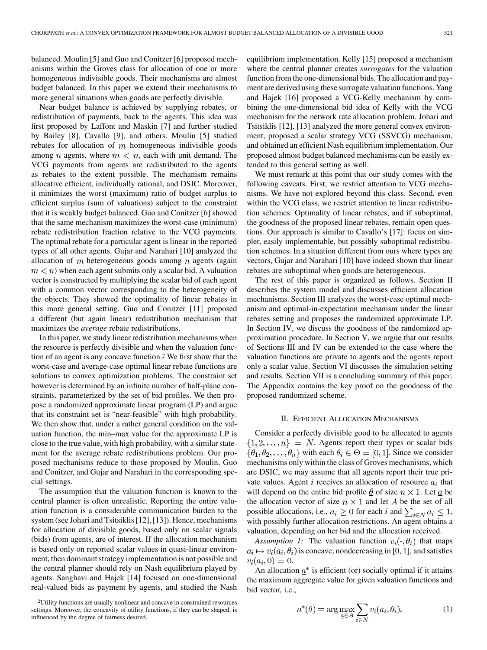balanced. Moulin [5] and Guo and Conitzer [6] proposed mechanisms within the Groves class for allocation of one or more homogeneous indivisible goods. Their mechanisms are almost budget balanced. In this paper we extend their mechanisms to more general situations when goods are perfectly divisible.

Near budget balance is achieved by supplying rebates, or redistribution of payments, back to the agents. This idea was first proposed by Laffont and Maskin [7] and further studied by Bailey [8], Cavallo [9], and others. Moulin [5] studied rebates for allocation of  $m$  homogeneous indivisible goods among *n* agents, where  $m < n$ , each with unit demand. The VCG payments from agents are redistributed to the agents as rebates to the extent possible. The mechanism remains allocative efficient, individually rational, and DSIC. Moreover, it minimizes the worst (maximum) ratio of budget surplus to efficient surplus (sum of valuations) subject to the constraint that it is weakly budget balanced. Guo and Conitzer [6] showed that the same mechanism maximizes the worst-case (minimum) rebate redistribution fraction relative to the VCG payments. The optimal rebate for a particular agent is linear in the reported types of all other agents. Gujar and Narahari [10] analyzed the allocation of  $m$  heterogeneous goods among  $n$  agents (again  $m < n$ ) when each agent submits only a scalar bid. A valuation vector is constructed by multiplying the scalar bid of each agent with a common vector corresponding to the heterogeneity of the objects. They showed the optimality of linear rebates in this more general setting. Guo and Conitzer [11] proposed a different (but again linear) redistribution mechanism that maximizes the *average* rebate redistributions.

In this paper, we study linear redistribution mechanisms when the resource is perfectly divisible and when the valuation function of an agent is any concave function.2 We first show that the worst-case and average-case optimal linear rebate functions are solutions to convex optimization problems. The constraint set however is determined by an infinite number of half-plane constraints, parameterized by the set of bid profiles. We then propose a randomized approximate linear program (LP) and argue that its constraint set is "near-feasible" with high probability. We then show that, under a rather general condition on the valuation function, the min–max value for the approximate LP is close to the true value, with high probability, with a similar statement for the average rebate redistributions problem. Our proposed mechanisms reduce to those proposed by Moulin, Guo and Conitzer, and Gujar and Narahari in the corresponding special settings.

The assumption that the valuation function is known to the central planner is often unrealistic. Reporting the entire valuation function is a considerable communication burden to the system (see Johari and Tsitsiklis [12], [13]). Hence, mechanisms for allocation of divisible goods, based only on scalar signals (bids) from agents, are of interest. If the allocation mechanism is based only on reported scalar values in quasi-linear environment, then dominant strategy implementation is not possible and the central planner should rely on Nash equilibrium played by agents. Sanghavi and Hajek [14] focused on one-dimensional real-valued bids as payment by agents, and studied the Nash

2Utility functions are usually nonlinear and concave in constrained resources settings. Moreover, the concavity of utility functions, if they can be shaped, is influenced by the degree of fairness desired.

equilibrium implementation. Kelly [15] proposed a mechanism where the central planner creates *surrogates* for the valuation function from the one-dimensional bids. The allocation and payment are derived using these surrogate valuation functions. Yang and Hajek [16] proposed a VCG-Kelly mechanism by combining the one-dimensional bid idea of Kelly with the VCG mechanism for the network rate allocation problem. Johari and Tsitsiklis [12], [13] analyzed the more general convex environment, proposed a scalar strategy VCG (SSVCG) mechanism, and obtained an efficient Nash equilibrium implementation. Our proposed almost budget balanced mechanisms can be easily extended to this general setting as well.

We must remark at this point that our study comes with the following caveats. First, we restrict attention to VCG mechanisms. We have not explored beyond this class. Second, even within the VCG class, we restrict attention to linear redistribution schemes. Optimality of linear rebates, and if suboptimal, the goodness of the proposed linear rebates, remain open questions. Our approach is similar to Cavallo's [17]: focus on simpler, easily implementable, but possibly suboptimal redistribution schemes. In a situation different from ours where types are vectors, Gujar and Narahari [10] have indeed shown that linear rebates are suboptimal when goods are heterogeneous.

The rest of this paper is organized as follows. Section II describes the system model and discusses efficient allocation mechanisms. Section III analyzes the worst-case optimal mechanism and optimal-in-expectation mechanism under the linear rebates setting and proposes the randomized approximate LP. In Section IV, we discuss the goodness of the randomized approximation procedure. In Section V, we argue that our results of Sections III and IV can be extended to the case where the valuation functions are private to agents and the agents report only a scalar value. Section VI discusses the simulation setting and results. Section VII is a concluding summary of this paper. The Appendix contains the key proof on the goodness of the proposed randomized scheme.

## II. EFFICIENT ALLOCATION MECHANISMS

Consider a perfectly divisible good to be allocated to agents  $\{1, 2, \ldots, n\}$  = N. Agents report their types or scalar bids  $\{\theta_1, \theta_2, \dots, \theta_n\}$  with each  $\theta_i \in \Theta = [0, 1]$ . Since we consider mechanisms only within the class of Groves mechanisms, which are DSIC, we may assume that all agents report their true private values. Agent  $i$  receives an allocation of resource  $a_i$  that will depend on the entire bid profile  $\theta$  of size  $n \times 1$ . Let  $\underline{a}$  be the allocation vector of size  $n \times 1$  and let A be the set of all possible allocations, i.e.,  $a_i \geq 0$  for each i and  $\sum_{i \in N} a_i \leq 1$ , with possibly further allocation restrictions. An agent obtains a valuation, depending on her bid and the allocation received.

*Assumption 1:* The valuation function  $v_i(\cdot, \theta_i)$  that maps  $a_i \mapsto v_i(a_i, \theta_i)$  is concave, nondecreasing in [0, 1], and satisfies  $v_i(a_i,0) = 0.$ 

An allocation  $\underline{a}^*$  is efficient (or) socially optimal if it attains the maximum aggregate value for given valuation functions and bid vector, i.e.,

$$
\underline{a}^*(\underline{\theta}) = \arg \max_{\underline{a} \in A} \sum_{i \in N} v_i(a_i, \theta_i). \tag{1}
$$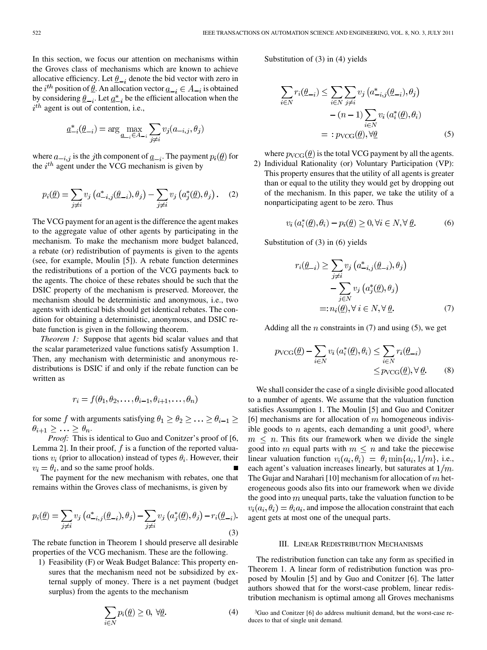In this section, we focus our attention on mechanisms within the Groves class of mechanisms which are known to achieve allocative efficiency. Let  $\underline{\theta}_{-i}$  denote the bid vector with zero in the *i*<sup>th</sup> position of <u> $\theta$ </u>. An allocation vector  $\underline{a}_{-i} \in A_{-i}$  is obtained by considering  $\underline{\theta}_{-i}$ . Let  $\underline{a}_{-i}^*$  be the efficient allocation when the  $i^{th}$  agent is out of contention, i.e.,

$$
\underline{a}_{-i}^*(\underline{\theta}_{-i}) = \arg \max_{\underline{a}_{-i} \in A_{-i}} \sum_{j \neq i} v_j(a_{-i,j}, \theta_j)
$$

where  $a_{-i,j}$  is the jth component of  $\underline{a}_{-i}$ . The payment  $p_i(\underline{\theta})$  for the  $i^{th}$  agent under the VCG mechanism is given by

$$
p_i(\underline{\theta}) = \sum_{j \neq i} v_j \left( a^*_{-i,j}(\underline{\theta}_{-i}), \theta_j \right) - \sum_{j \neq i} v_j \left( a^*_{j}(\underline{\theta}), \theta_j \right). \tag{2}
$$

The VCG payment for an agent is the difference the agent makes to the aggregate value of other agents by participating in the mechanism. To make the mechanism more budget balanced, a rebate (or) redistribution of payments is given to the agents (see, for example, Moulin [5]). A rebate function determines the redistributions of a portion of the VCG payments back to the agents. The choice of these rebates should be such that the DSIC property of the mechanism is preserved. Moreover, the mechanism should be deterministic and anonymous, i.e., two agents with identical bids should get identical rebates. The condition for obtaining a deterministic, anonymous, and DSIC rebate function is given in the following theorem.

*Theorem 1:* Suppose that agents bid scalar values and that the scalar parameterized value functions satisfy Assumption 1. Then, any mechanism with deterministic and anonymous redistributions is DSIC if and only if the rebate function can be written as

$$
r_i = f(\theta_1, \theta_2, \dots, \theta_{i-1}, \theta_{i+1}, \dots, \theta_n)
$$

for some f with arguments satisfying  $\theta_1 \ge \theta_2 \ge \ldots \ge \theta_{i-1} \ge$  $\theta_{i+1} \geq \ldots \geq \theta_n.$ 

*Proof:* This is identical to Guo and Conitzer's proof of [6, Lemma 2]. In their proof,  $f$  is a function of the reported valuations  $v_i$  (prior to allocation) instead of types  $\theta_i$ . However, their  $v_i = \theta_i$ , and so the same proof holds.

The payment for the new mechanism with rebates, one that remains within the Groves class of mechanisms, is given by

$$
p_i(\underline{\theta}) = \sum_{j \neq i} v_j \left( a^*_{-i,j}(\underline{\theta}_{-i}), \theta_j \right) - \sum_{j \neq i} v_j \left( a^*_j(\underline{\theta}), \theta_j \right) - r_i(\underline{\theta}_{-i}).
$$
\n(3)

The rebate function in Theorem 1 should preserve all desirable properties of the VCG mechanism. These are the following.

1) Feasibility (F) or Weak Budget Balance: This property ensures that the mechanism need not be subsidized by external supply of money. There is a net payment (budget surplus) from the agents to the mechanism

$$
\sum_{i \in N} p_i(\underline{\theta}) \ge 0, \ \forall \underline{\theta}.
$$
 (4)

Substitution of (3) in (4) yields

$$
\sum_{i \in N} r_i(\underline{\theta}_{-i}) \le \sum_{i \in N} \sum_{j \neq i} v_j \left( a^*_{-i,j}(\underline{\theta}_{-i}), \theta_j \right) - (n-1) \sum_{i \in N} v_i \left( a^*_i(\underline{\theta}), \theta_i \right) =: p_{\text{VCG}}(\underline{\theta}), \forall \underline{\theta}
$$
 (5)

where  $p_{VCG}(\underline{\theta})$  is the total VCG payment by all the agents. 2) Individual Rationality (or) Voluntary Participation (VP): This property ensures that the utility of all agents is greater than or equal to the utility they would get by dropping out of the mechanism. In this paper, we take the utility of a nonparticipating agent to be zero. Thus

$$
v_i\left(a_i^*(\underline{\theta}), \theta_i\right) - p_i(\underline{\theta}) \ge 0, \forall i \in N, \forall \underline{\theta}.\tag{6}
$$

Substitution of (3) in (6) yields

$$
r_i(\underline{\theta}_{-i}) \ge \sum_{j \ne i} v_j \left( a^*_{-i,j}(\underline{\theta}_{-i}), \theta_j \right)
$$

$$
- \sum_{j \in N} v_j \left( a^*_j(\underline{\theta}), \theta_j \right)
$$

$$
=: n_i(\underline{\theta}), \forall \ i \in N, \forall \underline{\theta}.
$$
 (7)

Adding all the *n* constraints in  $(7)$  and using  $(5)$ , we get

$$
p_{\text{VCG}}(\underline{\theta}) - \sum_{i \in N} v_i (a_i^*(\underline{\theta}), \theta_i) \le \sum_{i \in N} r_i(\underline{\theta}_{-i})
$$
  
 
$$
\le p_{\text{VCG}}(\underline{\theta}), \forall \underline{\theta}.
$$
 (8)

We shall consider the case of a single divisible good allocated to a number of agents. We assume that the valuation function satisfies Assumption 1. The Moulin [5] and Guo and Conitzer [6] mechanisms are for allocation of  $m$  homogeneous indivisible goods to  $n$  agents, each demanding a unit good<sup>3</sup>, where  $m \leq n$ . This fits our framework when we divide the single good into m equal parts with  $m \leq n$  and take the piecewise linear valuation function  $v_i(a_i, \theta_i) = \theta_i \min\{a_i, 1/m\}$ , i.e., each agent's valuation increases linearly, but saturates at  $1/m$ . The Gujar and Narahari [10] mechanism for allocation of  $m$  heterogeneous goods also fits into our framework when we divide the good into  $m$  unequal parts, take the valuation function to be  $v_i(a_i, \theta_i) = \theta_i a_i$ , and impose the allocation constraint that each agent gets at most one of the unequal parts.

## III. LINEAR REDISTRIBUTION MECHANISMS

The redistribution function can take any form as specified in Theorem 1. A linear form of redistribution function was proposed by Moulin [5] and by Guo and Conitzer [6]. The latter authors showed that for the worst-case problem, linear redistribution mechanism is optimal among all Groves mechanisms

<sup>3</sup>Guo and Conitzer [6] do address multiunit demand, but the worst-case reduces to that of single unit demand.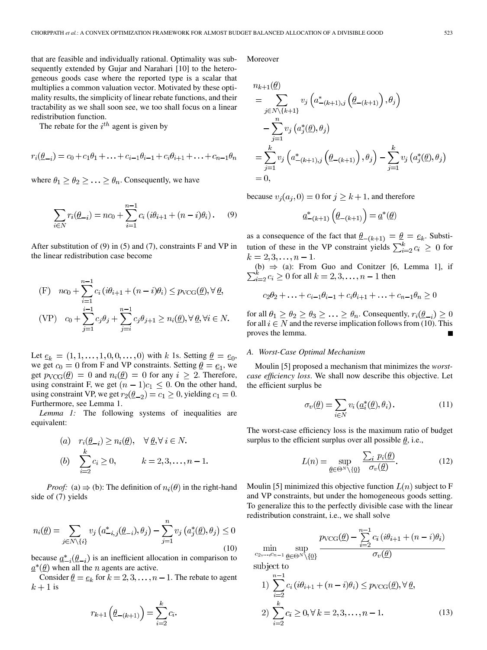that are feasible and individually rational. Optimality was subsequently extended by Gujar and Narahari [10] to the heterogeneous goods case where the reported type is a scalar that multiplies a common valuation vector. Motivated by these optimality results, the simplicity of linear rebate functions, and their tractability as we shall soon see, we too shall focus on a linear redistribution function.

The rebate for the  $i^{th}$  agent is given by

$$
r_i(\underline{\theta}_{-i}) = c_0 + c_1\theta_1 + \ldots + c_{i-1}\theta_{i-1} + c_i\theta_{i+1} + \ldots + c_{n-1}\theta_n
$$

where  $\theta_1 \geq \theta_2 \geq \ldots \geq \theta_n$ . Consequently, we have

$$
\sum_{i \in N} r_i(\underline{\theta}_{-i}) = nc_0 + \sum_{i=1}^{n-1} c_i (i\theta_{i+1} + (n-i)\theta_i).
$$
 (9)

After substitution of (9) in (5) and (7), constraints F and VP in the linear redistribution case become

(F) 
$$
nc_0 + \sum_{i=1}^{n-1} c_i (i\theta_{i+1} + (n-i)\theta_i) \leq p_{\text{VCG}}(\underline{\theta}), \forall \underline{\theta},
$$
  
(VP)  $c_0 + \sum_{j=1}^{i-1} c_j \theta_j + \sum_{j=i}^{n-1} c_j \theta_{j+1} \geq n_i(\underline{\theta}), \forall \underline{\theta}, \forall i \in N.$ 

Let  $\underline{e}_k = (1, 1, \ldots, 1, 0, 0, \ldots, 0)$  with k 1s. Setting  $\underline{\theta} = \underline{e}_0$ , we get  $c_0 = 0$  from F and VP constraints. Setting  $\theta = \underline{e_1}$ , we get  $p_{\text{VCG}}(\underline{\theta}) = 0$  and  $n_i(\underline{\theta}) = 0$  for any  $i \geq 2$ . Therefore, using constraint F, we get  $(n - 1)c_1 \leq 0$ . On the other hand, using constraint VP, we get  $r_2(\underline{\theta}_{-2}) = c_1 \geq 0$ , yielding  $c_1 = 0$ . Furthermore, see Lemma 1.

*Lemma 1:* The following systems of inequalities are equivalent:

(a) 
$$
r_i(\underline{\theta}_{-i}) \ge n_i(\underline{\theta}), \quad \forall \underline{\theta}, \forall i \in N.
$$
  
\n(b)  $\sum_{i=2}^k c_i \ge 0, \qquad k = 2, 3, ..., n-1.$ 

*Proof:* (a)  $\Rightarrow$  (b): The definition of  $n_i(\theta)$  in the right-hand side of (7) yields

$$
n_i(\underline{\theta}) = \sum_{j \in N \setminus \{i\}} v_j \left( a_{-i,j}^*(\underline{\theta}_{-i}), \theta_j \right) - \sum_{j=1}^n v_j \left( a_j^*(\underline{\theta}), \theta_j \right) \le 0
$$
\n(10)

because  $\underline{a}_{-i}^*(\underline{\theta}_{-i})$  is an inefficient allocation in comparison to  $\underline{a}^*(\underline{\theta})$  when all the *n* agents are active.

Consider  $\underline{\theta} = \underline{e}_k$  for  $k = 2, 3, ..., n - 1$ . The rebate to agent  $k+1$  is

$$
r_{k+1}\left(\underline{\theta}_{-(k+1)}\right) = \sum_{i=2}^{k} c_i.
$$

Moreover

$$
n_{k+1}(\underline{\theta})
$$
  
=  $\sum_{j \in N \setminus \{k+1\}} v_j \left( a^*_{-(k+1),j} \left( \underline{\theta}_{-(k+1)} \right), \theta_j \right)$   
-  $\sum_{j=1}^n v_j \left( a^*_{j}(\underline{\theta}), \theta_j \right)$   
=  $\sum_{j=1}^k v_j \left( a^*_{-(k+1),j} \left( \underline{\theta}_{-(k+1)} \right), \theta_j \right) - \sum_{j=1}^k v_j \left( a^*_{j}(\underline{\theta}), \theta_j \right)$   
= 0,

because  $v_j(a_j, 0) = 0$  for  $j \geq k + 1$ , and therefore

$$
\underline{a}^*_{-(k+1)}\left(\underline{\theta}_{-(k+1)}\right)=\underline{a}^*(\underline{\theta})
$$

as a consequence of the fact that  $\underline{\theta}_{-(k+1)} = \underline{\theta} = \underline{e}_k$ . Substitution of these in the VP constraint yields  $\sum_{i=2}^{k} c_i \geq 0$  for  $k = 2, 3, \ldots, n - 1.$ 

(b)  $\Rightarrow$  (a): From Guo and Conitzer [6, Lemma 1], if for all  $k = 2, 3, \dots, n - 1$  then

$$
c_2\theta_2 + \ldots + c_{i-1}\theta_{i-1} + c_i\theta_{i+1} + \ldots + c_{n-1}\theta_n \ge 0
$$

for all  $\theta_1 \ge \theta_2 \ge \theta_3 \ge \ldots \ge \theta_n$ . Consequently,  $r_i(\underline{\theta}_{-i}) \ge 0$ for all  $i \in N$  and the reverse implication follows from (10). This proves the lemma.

# *A. Worst-Case Optimal Mechanism*

Moulin [5] proposed a mechanism that minimizes the *worstcase efficiency loss*. We shall now describe this objective. Let the efficient surplus be

$$
\sigma_v(\underline{\theta}) = \sum_{i \in N} v_i(\underline{a}_i^*(\underline{\theta}), \theta_i).
$$
 (11)

The worst-case efficiency loss is the maximum ratio of budget surplus to the efficient surplus over all possible  $\theta$ , i.e.,

$$
L(n) = \sup_{\underline{\theta} \in \Theta^N \setminus \{\underline{0}\}} \frac{\sum_i p_i(\underline{\theta})}{\sigma_v(\underline{\theta})}.
$$
 (12)

Moulin [5] minimized this objective function  $L(n)$  subject to F and VP constraints, but under the homogeneous goods setting. To generalize this to the perfectly divisible case with the linear redistribution constraint, i.e., we shall solve

 $\sup_{\substack{\text{Sup} \\ \text{on } N \geq 0}} \frac{p_{\text{VCG}}(\underline{\theta}) - \sum_{i=2}^{n-1} c_i \left( i \theta_{i+1} + (n-i) \theta_i \right)}{\sigma_n(\theta)}$  $\min_{c_2,\ldots,c_{n-1}}\sup_{\underline{\theta}\in\Theta^N\backslash\{\underline{0}\}}$ subject to 1)  $\sum_{i=2}^{n-1} c_i (i\theta_{i+1} + (n-i)\theta_i) \le p_{\text{VCG}}(\underline{\theta}), \forall \underline{\theta},$ <br>2)  $\sum_{i=2}^{k} c_i \ge 0, \forall k = 2, 3, ..., n-1.$ (13)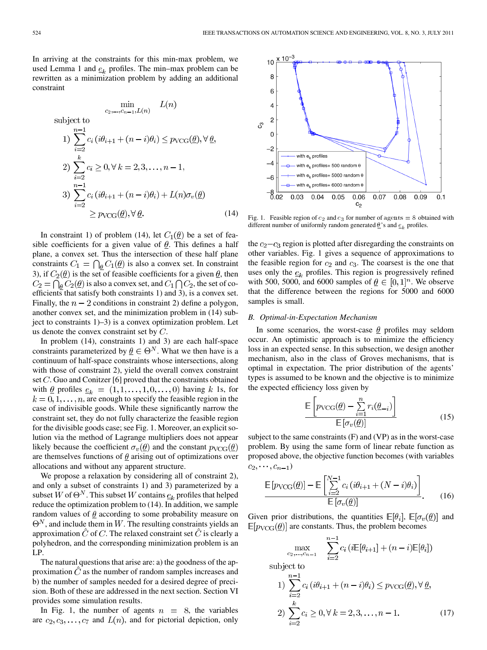In arriving at the constraints for this min-max problem, we used Lemma 1 and  $e_k$  profiles. The min–max problem can be rewritten as a minimization problem by adding an additional constraint

$$
\min_{c_2,\dots,c_{n-1},L(n)} L(n)
$$
\nsubject to\n
$$
1) \sum_{i=2}^{n-1} c_i (i\theta_{i+1} + (n-i)\theta_i) \le p_{\text{VCG}}(\underline{\theta}), \forall \underline{\theta},
$$
\n
$$
2) \sum_{i=2}^{k} c_i \ge 0, \forall k = 2,3,\dots, n-1,
$$
\n
$$
3) \sum_{i=2}^{n-1} c_i (i\theta_{i+1} + (n-i)\theta_i) + L(n)\sigma_v(\underline{\theta})
$$
\n
$$
\ge p_{\text{VCG}}(\underline{\theta}), \forall \underline{\theta}.
$$
\n(14)

In constraint 1) of problem (14), let  $C_1(\underline{\theta})$  be a set of feasible coefficients for a given value of  $\theta$ . This defines a half plane, a convex set. Thus the intersection of these half plane constraints  $C_1 = \bigcap_{\theta} C_1(\underline{\theta})$  is also a convex set. In constraint 3), if  $C_2(\underline{\theta})$  is the set of feasible coefficients for a given  $\underline{\theta}$ , then  $C_2 = \bigcap_{\theta} C_2(\underline{\theta})$  is also a convex set, and  $C_1 \bigcap C_2$ , the set of coefficients that satisfy both constraints 1) and 3), is a convex set. Finally, the  $n-2$  conditions in constraint 2) define a polygon, another convex set, and the minimization problem in (14) subject to constraints 1)–3) is a convex optimization problem. Let us denote the convex constraint set by  $C$ .

In problem (14), constraints 1) and 3) are each half-space constraints parameterized by  $\underline{\theta} \in \Theta^N$ . What we then have is a continuum of half-space constraints whose intersections, along with those of constraint 2), yield the overall convex constraint set  $C$ . Guo and Conitzer [6] proved that the constraints obtained with  $\underline{\theta}$  profiles  $\underline{e}_k = (1, 1, \ldots, 1, 0, \ldots, 0)$  having k 1s, for  $k = 0, 1, \ldots, n$ , are enough to specify the feasible region in the case of indivisible goods. While these significantly narrow the constraint set, they do not fully characterize the feasible region for the divisible goods case; see Fig. 1. Moreover, an explicit solution via the method of Lagrange multipliers does not appear likely because the coefficient  $\sigma_v(\underline{\theta})$  and the constant  $p_{VCG}(\underline{\theta})$ are themselves functions of  $\theta$  arising out of optimizations over allocations and without any apparent structure.

We propose a relaxation by considering all of constraint 2), and only a subset of constraints 1) and 3) parameterized by a subset W of  $\Theta^N$ . This subset W contains  $e_k$  profiles that helped reduce the optimization problem to (14). In addition, we sample random values of  $\theta$  according to some probability measure on  $\Theta^N$ , and include them in W. The resulting constraints yields an approximation  $\hat{C}$  of  $C$ . The relaxed constraint set  $\hat{C}$  is clearly a polyhedron, and the corresponding minimization problem is an LP.

The natural questions that arise are: a) the goodness of the approximation  $C$  as the number of random samples increases and b) the number of samples needed for a desired degree of precision. Both of these are addressed in the next section. Section VI provides some simulation results.

In Fig. 1, the number of agents  $n = 8$ , the variables are  $c_2, c_3, \ldots, c_7$  and  $L(n)$ , and for pictorial depiction, only



Fig. 1. Feasible region of  $c_2$  and  $c_3$  for number of agents = 8 obtained with different number of uniformly random generated  $\theta$ 's and  $\epsilon_k$  profiles.

the  $c_2 - c_3$  region is plotted after disregarding the constraints on other variables. Fig. 1 gives a sequence of approximations to the feasible region for  $c_2$  and  $c_3$ . The coarsest is the one that uses only the  $e_k$  profiles. This region is progressively refined with 500, 5000, and 6000 samples of  $\theta \in [0,1]^n$ . We observe that the difference between the regions for 5000 and 6000 samples is small.

## *B. Optimal-in-Expectation Mechanism*

In some scenarios, the worst-case  $\theta$  profiles may seldom occur. An optimistic approach is to minimize the efficiency loss in an expected sense. In this subsection, we design another mechanism, also in the class of Groves mechanisms, that is optimal in expectation. The prior distribution of the agents' types is assumed to be known and the objective is to minimize the expected efficiency loss given by

$$
\frac{\mathbb{E}\left[p_{\text{VCG}}(\underline{\theta}) - \sum_{i=1}^{n} r_i(\underline{\theta}_{-i})\right]}{\mathbb{E}\left[\sigma_v(\underline{\theta})\right]}
$$
(15)

subject to the same constraints (F) and (VP) as in the worst-case problem. By using the same form of linear rebate function as proposed above, the objective function becomes (with variables  $(c_2, \dots, c_{n-1})$ 

$$
\frac{\mathbb{E}\left[p_{\text{VCG}}(\underline{\theta})\right] - \mathbb{E}\left[\sum_{i=2}^{N-1} c_i \left(i\theta_{i+1} + (N-i)\theta_i\right)\right]}{\mathbb{E}\left[\sigma_v(\underline{\theta})\right]}.
$$
 (16)

Given prior distributions, the quantities  $\mathbb{E}[\theta_i], \mathbb{E}[\sigma_v(\underline{\theta})]$  and  $\mathbb{E}[p_{\text{VCG}}(\underline{\theta})]$  are constants. Thus, the problem becomes

$$
\max_{c_2, ..., c_{n-1}} \sum_{i=2}^{n-1} c_i (i\mathbb{E}[\theta_{i+1}] + (n-i)\mathbb{E}[\theta_i])
$$
  
subject to  
1) 
$$
\sum_{i=2}^{n-1} c_i (i\theta_{i+1} + (n-i)\theta_i) \le p_{\text{VCG}}(\underline{\theta}), \forall \underline{\theta},
$$
  
2) 
$$
\sum_{i=2}^{k} c_i \ge 0, \forall k = 2, 3, ..., n-1.
$$
 (17)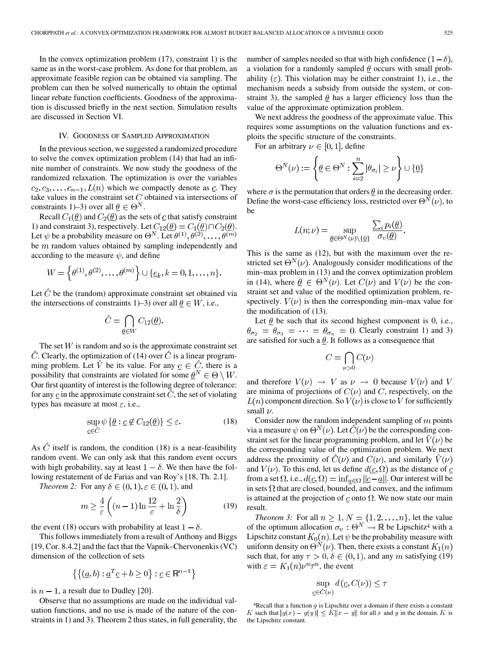In the convex optimization problem  $(17)$ , constraint 1) is the same as in the worst-case problem. As done for that problem, an approximate feasible region can be obtained via sampling. The problem can then be solved numerically to obtain the optimal linear rebate function coefficients. Goodness of the approximation is discussed briefly in the next section. Simulation results are discussed in Section VI.

# IV. GOODNESS OF SAMPLED APPROXIMATION

In the previous section, we suggested a randomized procedure to solve the convex optimization problem (14) that had an infinite number of constraints. We now study the goodness of the randomized relaxation. The optimization is over the variables  $c_2, c_3, \ldots, c_{n-1}, L(n)$  which we compactly denote as  $c$ . They take values in the constraint set  $C$  obtained via intersections of constraints 1)–3) over all  $\underline{\theta} \in \Theta^N$ .

Recall  $C_1(\underline{\theta})$  and  $C_2(\underline{\theta})$  as the sets of  $\underline{c}$  that satisfy constraint 1) and constraint 3), respectively. Let  $C_{12}(\underline{\theta}) = C_1(\underline{\theta}) \cap C_2(\underline{\theta})$ . Let  $\psi$  be a probability measure on  $\Theta^N$ . Let  $\theta^{(1)}, \theta^{(2)}, \ldots, \theta^{(m)}$ be  $m$  random values obtained by sampling independently and according to the measure  $\psi$ , and define

$$
W = \left\{ \theta^{(1)}, \theta^{(2)}, \dots, \theta^{(m)} \right\} \cup \{ \underline{e}_k, k = 0, 1, \dots, n \}
$$

Let  $\hat{C}$  be the (random) approximate constraint set obtained via the intersections of constraints 1)–3) over all  $\theta \in W$ , i.e.,

$$
\hat{C} = \bigcap_{\underline{\theta} \in W} C_{12}(\underline{\theta})
$$

The set  $W$  is random and so is the approximate constraint set  $\hat{C}$ . Clearly, the optimization of (14) over  $\hat{C}$  is a linear programming problem. Let  $\hat{V}$  be its value. For any  $\underline{c} \in \hat{C}$ , there is a possibility that constraints are violated for some  $\underline{\theta}^N \in \Theta \setminus W$ . Our first quantity of interest is the following degree of tolerance: for any  $\mathcal C$  in the approximate constraint set  $\hat C$ , the set of violating types has measure at most  $\varepsilon$ , i.e.,

$$
\sup_{\underline{c}\in\hat{C}}\psi\left\{\underline{\theta}:\underline{c}\notin C_{12}(\underline{\theta})\right\}\leq\varepsilon.\tag{18}
$$

As  $\ddot{C}$  itself is random, the condition (18) is a near-feasibility random event. We can only ask that this random event occurs with high probability, say at least  $1 - \delta$ . We then have the following restatement of de Farias and van Roy's [18, Th. 2.1].

*Theorem 2:* For any  $\delta \in (0,1), \varepsilon \in (0,1)$ , and

$$
m \ge \frac{4}{\varepsilon} \left( (n-1) \ln \frac{12}{\varepsilon} + \ln \frac{2}{\delta} \right) \tag{19}
$$

the event (18) occurs with probability at least  $1 - \delta$ .

This follows immediately from a result of Anthony and Biggs [19, Cor. 8.4.2] and the fact that the Vapnik–Chervonenkis (VC) dimension of the collection of sets

$$
\left\{ \left\{ (\underline{a}, b) : \underline{a}^T \underline{c} + b \ge 0 \right\} : \underline{c} \in \mathbb{R}^{n-1} \right\}
$$

is  $n - 1$ , a result due to Dudley [20].

Observe that no assumptions are made on the individual valuation functions, and no use is made of the nature of the constraints in 1) and 3). Theorem 2 thus states, in full generality, the number of samples needed so that with high confidence  $(1 - \delta)$ , a violation for a randomly sampled  $\theta$  occurs with small probability  $(\varepsilon)$ . This violation may be either constraint 1), i.e., the mechanism needs a subsidy from outside the system, or constraint 3), the sampled  $\theta$  has a larger efficiency loss than the value of the approximate optimization problem.

We next address the goodness of the approximate value. This requires some assumptions on the valuation functions and exploits the specific structure of the constraints.

For an arbitrary  $\nu \in [0,1]$ , define

$$
\Theta^N(\nu) := \left\{ \underline{\theta} \in \Theta^N : \sum_{i=2}^n |\theta_{\sigma_i}| \ge \nu \right\} \cup \{\underline{0}\}
$$

where  $\sigma$  is the permutation that orders  $\theta$  in the decreasing order. Define the worst-case efficiency loss, restricted over  $\Theta^{N}(\nu)$ , to be

$$
L(n; \nu) = \sup_{\underline{\theta} \in \Theta^N(\nu) \setminus \{\underline{0}\}} \frac{\sum_i p_i(\underline{\theta})}{\sigma_{\nu}(\underline{\theta})}
$$

This is the same as (12), but with the maximum over the restricted set  $\Theta^{N}(\nu)$ . Analogously consider modifications of the min–max problem in (13) and the convex optimization problem in (14), where  $\underline{\theta} \in \Theta^N(\nu)$ . Let  $C(\nu)$  and  $V(\nu)$  be the constraint set and value of the modified optimization problem, respectively.  $V(\nu)$  is then the corresponding min–max value for the modification of (13).

Let  $\underline{\theta}$  be such that its second highest component is 0, i.e.,  $\theta_{\sigma_2} = \theta_{\sigma_3} = \cdots = \theta_{\sigma_n} = 0$ . Clearly constraint 1) and 3) are satisfied for such a  $\theta$ . It follows as a consequence that

$$
C = \bigcap_{\nu > 0} C(\nu)
$$

and therefore  $V(\nu) \rightarrow V$  as  $\nu \rightarrow 0$  because  $V(\nu)$  and V are minima of projections of  $C(\nu)$  and C, respectively, on the  $L(n)$  component direction. So  $V(\nu)$  is close to V for sufficiently small  $\nu$ .

Consider now the random independent sampling of  $m$  points via a measure  $\psi$  on  $\Theta^{N}(\nu)$ . Let  $\hat{C}(\nu)$  be the corresponding constraint set for the linear programming problem, and let  $\hat{V}(\nu)$  be the corresponding value of the optimization problem. We next address the proximity of  $\hat{C}(\nu)$  and  $C(\nu)$ , and similarly  $\hat{V}(\nu)$ and  $V(\nu)$ . To this end, let us define  $d(\underline{c}, \Omega)$  as the distance of  $\underline{c}$ from a set  $\Omega$ , i.e.,  $d(\underline{c}, \Omega) = \inf_{a \in \Omega} ||\underline{c} - \underline{a}||$ . Our interest will be in sets  $\Omega$  that are closed, bounded, and convex, and the infimum is attained at the projection of c onto  $\Omega$ . We now state our main result.

*Theorem 3:* For all  $n \geq 1$ ,  $N = \{1, 2, ..., n\}$ , let the value of the optimum allocation  $\sigma_v : \Theta^N \to \mathbb{R}$  be Lipschitz<sup>4</sup> with a Lipschitz constant  $K_0(n)$ . Let  $\psi$  be the probability measure with uniform density on  $\Theta^{N}(\nu)$ . Then, there exists a constant  $K_1(n)$ such that, for any  $\tau > 0$ ,  $\delta \in (0,1)$ , and any m satisfying (19) with  $\varepsilon = K_1(n)\nu^n \tau^n$ , the event

$$
\sup_{\underline{c}\in\hat{C}(\nu)}d(\underline{c},C(\nu))\leq\tau
$$

 $4$ Recall that a function  $g$  is Lipschitz over a domain if there exists a constant K such that  $|g(x) - g(y)| \le K ||x - y||$  for all x and y in the domain. K is the Lipschitz constant.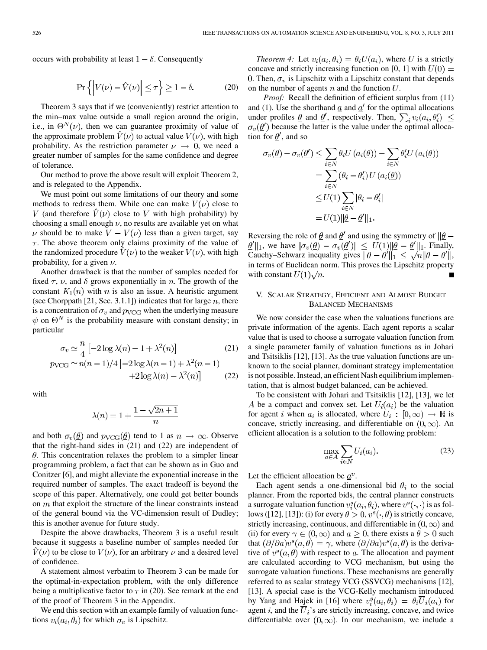occurs with probability at least  $1 - \delta$ . Consequently

$$
\Pr\left\{ \left| V(\nu) - \hat{V}(\nu) \right| \le \tau \right\} \ge 1 - \delta. \tag{20}
$$

Theorem 3 says that if we (conveniently) restrict attention to the min–max value outside a small region around the origin, i.e., in  $\Theta^{N}(\nu)$ , then we can guarantee proximity of value of the approximate problem  $V(\nu)$  to actual value  $V(\nu)$ , with high probability. As the restriction parameter  $\nu \rightarrow 0$ , we need a greater number of samples for the same confidence and degree of tolerance.

Our method to prove the above result will exploit Theorem 2, and is relegated to the Appendix.

We must point out some limitations of our theory and some methods to redress them. While one can make  $V(\nu)$  close to V (and therefore  $V(\nu)$  close to V with high probability) by choosing a small enough  $\nu$ , no results are available yet on what  $\nu$  should be to make  $V - V(\nu)$  less than a given target, say  $\tau$ . The above theorem only claims proximity of the value of the randomized procedure  $V(\nu)$  to the weaker  $V(\nu)$ , with high probability, for a given  $\nu$ .

Another drawback is that the number of samples needed for fixed  $\tau$ ,  $\nu$ , and  $\delta$  grows exponentially in n. The growth of the constant  $K_1(n)$  with n is also an issue. A heuristic argument (see Chorppath [21, Sec. 3.1.1]) indicates that for large  $n$ , there is a concentration of  $\sigma_v$  and  $p_{\text{VCG}}$  when the underlying measure  $\psi$  on  $\Theta^N$  is the probability measure with constant density; in particular

$$
\sigma_v \simeq \frac{n}{4} \left[ -2 \log \lambda(n) - 1 + \lambda^2(n) \right] \tag{21}
$$

$$
p_{\text{VCG}} \simeq n(n-1)/4 \left[ -2 \log \lambda(n-1) + \lambda^2(n-1) + 2 \log \lambda(n) - \lambda^2(n) \right] \tag{22}
$$

with

$$
\lambda(n)=1+\frac{1-\sqrt{2n+1}}{n}
$$

and both  $\sigma_v(\underline{\theta})$  and  $p_{VCG}(\underline{\theta})$  tend to 1 as  $n \to \infty$ . Observe that the right-hand sides in (21) and (22) are independent of  $\theta$ . This concentration relaxes the problem to a simpler linear programming problem, a fact that can be shown as in Guo and Conitzer [6], and might alleviate the exponential increase in the required number of samples. The exact tradeoff is beyond the scope of this paper. Alternatively, one could get better bounds on  $m$  that exploit the structure of the linear constraints instead of the general bound via the VC-dimension result of Dudley; this is another avenue for future study.

Despite the above drawbacks, Theorem 3 is a useful result because it suggests a baseline number of samples needed for  $V(\nu)$  to be close to  $V(\nu)$ , for an arbitrary  $\nu$  and a desired level of confidence.

A statement almost verbatim to Theorem 3 can be made for the optimal-in-expectation problem, with the only difference being a multiplicative factor to  $\tau$  in (20). See remark at the end of the proof of Theorem 3 in the Appendix.

We end this section with an example family of valuation functions  $v_i(a_i, \theta_i)$  for which  $\sigma_v$  is Lipschitz.

*Theorem 4:* Let  $v_i(a_i, \theta_i) = \theta_i U(a_i)$ , where U is a strictly concave and strictly increasing function on [0, 1] with  $U(0) =$ 0. Then,  $\sigma_v$  is Lipschitz with a Lipschitz constant that depends on the number of agents  $n$  and the function  $U$ .

*Proof:* Recall the definition of efficient surplus from  $(11)$ and (1). Use the shorthand  $\underline{a}$  and  $\underline{a}$ <sup>'</sup> for the optimal allocations under profiles  $\underline{\theta}$  and  $\underline{\theta}'$ , respectively. Then,  $\sum_i v_i(a_i, \theta'_i) \leq$  $\sigma_v(\underline{\theta}')$  because the latter is the value under the optimal allocation for  $\theta'$ , and so

$$
\sigma_v(\underline{\theta}) - \sigma_v(\underline{\theta}') \le \sum_{i \in N} \theta_i U(a_i(\underline{\theta})) - \sum_{i \in N} \theta'_i U(a_i(\underline{\theta}))
$$

$$
= \sum_{i \in N} (\theta_i - \theta'_i) U(a_i(\underline{\theta}))
$$

$$
\le U(1) \sum_{i \in N} |\theta_i - \theta'_i|
$$

$$
= U(1) ||\underline{\theta} - \underline{\theta}'||_1.
$$

Reversing the role of  $\theta$  and  $\theta'$  and using the symmetry of  $||\theta - \theta||$  $\underline{\theta}'||_1$ , we have  $|\sigma_v(\underline{\theta}) - \sigma_v(\underline{\theta}')| \leq U(1)||\underline{\theta} - \underline{\theta}'||_1$ . Finally, Cauchy–Schwarz inequality gives  $||\theta - \theta'||_1 \le \sqrt{n} ||\theta - \theta'||$ , in terms of Euclidean norm. This proves the Lipschitz property with constant  $U(1)\sqrt{n}$ .

# V. SCALAR STRATEGY, EFFICIENT AND ALMOST BUDGET BALANCED MECHANISMS

We now consider the case when the valuations functions are private information of the agents. Each agent reports a scalar value that is used to choose a surrogate valuation function from a single parameter family of valuation functions as in Johari and Tsitsiklis [12], [13]. As the true valuation functions are unknown to the social planner, dominant strategy implementation is not possible. Instead, an efficient Nash equilibrium implementation, that is almost budget balanced, can be achieved.

To be consistent with Johari and Tsitsiklis [12], [13], we let A be a compact and convex set. Let  $U_i(a_i)$  be the valuation for agent i when  $a_i$  is allocated, where  $U_i : [0, \infty) \to \mathbb{R}$  is concave, strictly increasing, and differentiable on  $(0, \infty)$ . An efficient allocation is a solution to the following problem:

$$
\max_{\underline{a}\in A} \sum_{i\in N} U_i(a_i). \tag{23}
$$

Let the efficient allocation be  $a^v$ .

Each agent sends a one-dimensional bid  $\theta_i$  to the social planner. From the reported bids, the central planner constructs a surrogate valuation function  $v_i^s(a_i, \theta_i)$ , where  $v^s(\cdot, \cdot)$  is as follows ([12], [13]): (i) for every  $\theta > 0$ ,  $v^s(\cdot, \theta)$  is strictly concave, strictly increasing, continuous, and differentiable in  $(0, \infty)$  and (ii) for every  $\gamma \in (0,\infty)$  and  $a \geq 0$ , there exists a  $\theta > 0$  such that  $(\partial/\partial a)v^{s}(a,\theta) = \gamma$ , where  $(\partial/\partial a)v^{s}(a,\theta)$  is the derivative of  $v^s(a, \theta)$  with respect to a. The allocation and payment are calculated according to VCG mechanism, but using the surrogate valuation functions. These mechanisms are generally referred to as scalar strategy VCG (SSVCG) mechanisms [12], [13]. A special case is the VCG-Kelly mechanism introduced by Yang and Hajek in [16] where  $v_i^s(a_i, \theta_i) = \theta_i \overline{U}_i(a_i)$  for agent i, and the  $\overline{U}_i$ 's are strictly increasing, concave, and twice differentiable over  $(0, \infty)$ . In our mechanism, we include a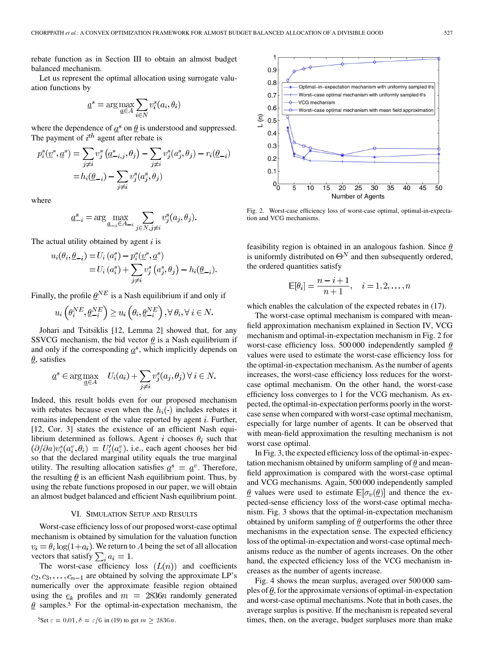rebate function as in Section III to obtain an almost budget balanced mechanism.

Let us represent the optimal allocation using surrogate valuation functions by

$$
\underline{a}^s = \arg \max_{\underline{a} \in A} \sum_{i \in N} v_i^s(a_i, \theta_i)
$$

where the dependence of  $a^s$  on  $\theta$  is understood and suppressed. The payment of  $i^{th}$  agent after rebate is

$$
p_i^s(\underline{v}^s, \underline{a}^s) = \sum_{j \neq i} v_j^s (\underline{a}^s_{-i,j}, \theta_j) - \sum_{j \neq i} v_j^s(a_j^s, \theta_j) - r_i(\underline{\theta}_{-i})
$$
  
=  $h_i(\underline{\theta}_{-i}) - \sum_{j \neq i} v_j^s(a_j^s, \theta_j)$ 

where

$$
\underline{a}^s_{-i} = \arg\max_{\underline{a}_{-i}\in A_{-i}}\sum_{j\in N, j\neq i} v^s_j(a_j, \theta_j)
$$

The actual utility obtained by agent  $i$  is

$$
u_i(\theta_i, \underline{\theta}_{-i}) = U_i(a_i^s) - p_i^s(\underline{v}^s, \underline{a}^s)
$$
  
= 
$$
U_i(a_i^s) + \sum_{j \neq i} v_j^s(a_j^s, \theta_j) - h_i(\underline{\theta}_{-i}).
$$

Finally, the profile  $\underline{\theta}^{NE}$  is a Nash equilibrium if and only if

$$
u_i\left(\theta_i^{NE}, \underline{\theta}_{-i}^{NE}\right) \ge u_i\left(\theta_i, \underline{\theta}_{-i}^{NE}\right), \forall \ \theta_i, \forall \ i \in N.
$$

Johari and Tsitsiklis [12, Lemma 2] showed that, for any SSVCG mechanism, the bid vector  $\theta$  is a Nash equilibrium if and only if the corresponding  $\underline{a}^s$ , which implicitly depends on  $\theta$ , satisfies

$$
\underline{a}^s \in \arg \max_{\underline{a} \in A} \quad U_i(a_i) + \sum_{j \neq i} v_j^s(a_j, \theta_j) \,\forall \, i \in N.
$$

Indeed, this result holds even for our proposed mechanism with rebates because even when the  $h_i(\cdot)$  includes rebates it remains independent of the value reported by agent  $i$ . Further, [12, Cor. 3] states the existence of an efficient Nash equilibrium determined as follows. Agent i chooses  $\theta_i$  such that  $(\partial/\partial a)v_i^s(a_i^v, \theta_i) = U_i'(a_i^v)$ , i.e., each agent chooses her bid so that the declared marginal utility equals the true marginal utility. The resulting allocation satisfies  $\underline{a}^s = \underline{a}^v$ . Therefore, the resulting  $\theta$  is an efficient Nash equilibrium point. Thus, by using the rebate functions proposed in our paper, we will obtain an almost budget balanced and efficient Nash equilibrium point.

## VI. SIMULATION SETUP AND RESULTS

Worst-case efficiency loss of our proposed worst-case optimal mechanism is obtained by simulation for the valuation function  $v_i = \theta_i \log(1 + a_i)$ . We return to A being the set of all allocation vectors that satisfy  $\sum_i a_i = 1$ .

The worst-case efficiency loss  $(L(n))$  and coefficients  $c_2, c_3, \ldots, c_{n-1}$  are obtained by solving the approximate LP's numerically over the approximate feasible region obtained using the  $e_k$  profiles and  $m = 2836n$  randomly generated  $\theta$  samples.<sup>5</sup> For the optimal-in-expectation mechanism, the



Fig. 2. Worst-case efficiency loss of worst-case optimal, optimal-in-expectation and VCG mechanisms.

feasibility region is obtained in an analogous fashion. Since  $\theta$ is uniformly distributed on  $\Theta^N$  and then subsequently ordered, the ordered quantities satisfy

$$
\mathbb{E}[\theta_i] = \frac{n-i+1}{n+1}, \quad i = 1, 2, \dots, n
$$

which enables the calculation of the expected rebates in (17).

The worst-case optimal mechanism is compared with meanfield approximation mechanism explained in Section IV, VCG mechanism and optimal-in-expectation mechanism in Fig. 2 for worst-case efficiency loss. 500 000 independently sampled  $\theta$ values were used to estimate the worst-case efficiency loss for the optimal-in-expectation mechanism. As the number of agents increases, the worst-case efficiency loss reduces for the worstcase optimal mechanism. On the other hand, the worst-case efficiency loss converges to 1 for the VCG mechanism. As expected, the optimal-in-expectation performs poorly in the worstcase sense when compared with worst-case optimal mechanism, especially for large number of agents. It can be observed that with mean-field approximation the resulting mechanism is not worst case optimal.

In Fig. 3, the expected efficiency loss of the optimal-in-expectation mechanism obtained by uniform sampling of  $\theta$  and meanfield approximation is compared with the worst-case optimal and VCG mechanisms. Again, 500 000 independently sampled  $\theta$  values were used to estimate  $\mathbb{E}[\sigma_v(\theta)]$  and thence the expected-sense efficiency loss of the worst-case optimal mechanism. Fig. 3 shows that the optimal-in-expectation mechanism obtained by uniform sampling of  $\theta$  outperforms the other three mechanisms in the expectation sense. The expected efficiency loss of the optimal-in-expectation and worst-case optimal mechanisms reduce as the number of agents increases. On the other hand, the expected efficiency loss of the VCG mechanism increases as the number of agents increase.

Fig. 4 shows the mean surplus, averaged over 500 000 samples of  $\theta$ , for the approximate versions of optimal-in-expectation and worst-case optimal mechanisms. Note that in both cases, the average surplus is positive. If the mechanism is repeated several times, then, on the average, budget surpluses more than make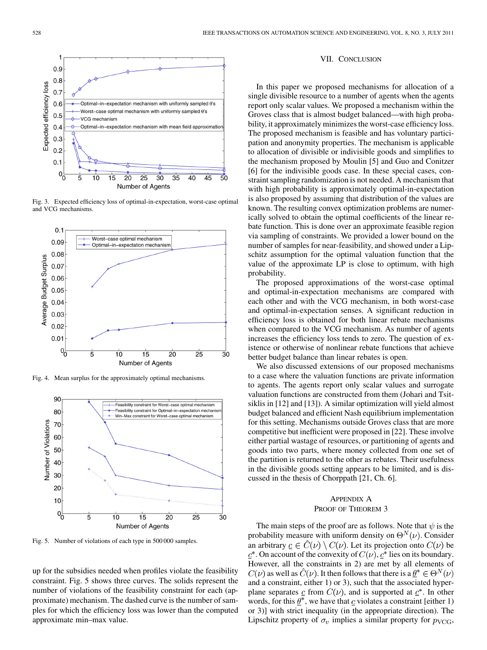

Fig. 3. Expected efficiency loss of optimal-in-expectation, worst-case optimal and VCG mechanisms.



Fig. 4. Mean surplus for the approximately optimal mechanisms.



Fig. 5. Number of violations of each type in 500 000 samples.

up for the subsidies needed when profiles violate the feasibility constraint. Fig. 5 shows three curves. The solids represent the number of violations of the feasibility constraint for each (approximate) mechanism. The dashed curve is the number of samples for which the efficiency loss was lower than the computed approximate min–max value.

## VII. CONCLUSION

In this paper we proposed mechanisms for allocation of a single divisible resource to a number of agents when the agents report only scalar values. We proposed a mechanism within the Groves class that is almost budget balanced—with high probability, it approximately minimizes the worst-case efficiency loss. The proposed mechanism is feasible and has voluntary participation and anonymity properties. The mechanism is applicable to allocation of divisible or indivisible goods and simplifies to the mechanism proposed by Moulin [5] and Guo and Conitzer [6] for the indivisible goods case. In these special cases, constraint sampling randomization is not needed. A mechanism that with high probability is approximately optimal-in-expectation is also proposed by assuming that distribution of the values are known. The resulting convex optimization problems are numerically solved to obtain the optimal coefficients of the linear rebate function. This is done over an approximate feasible region via sampling of constraints. We provided a lower bound on the number of samples for near-feasibility, and showed under a Lipschitz assumption for the optimal valuation function that the value of the approximate LP is close to optimum, with high probability.

The proposed approximations of the worst-case optimal and optimal-in-expectation mechanisms are compared with each other and with the VCG mechanism, in both worst-case and optimal-in-expectation senses. A significant reduction in efficiency loss is obtained for both linear rebate mechanisms when compared to the VCG mechanism. As number of agents increases the efficiency loss tends to zero. The question of existence or otherwise of nonlinear rebate functions that achieve better budget balance than linear rebates is open.

We also discussed extensions of our proposed mechanisms to a case where the valuation functions are private information to agents. The agents report only scalar values and surrogate valuation functions are constructed from them (Johari and Tsitsiklis in [12] and [13]). A similar optimization will yield almost budget balanced and efficient Nash equilibrium implementation for this setting. Mechanisms outside Groves class that are more competitive but inefficient were proposed in [22]. These involve either partial wastage of resources, or partitioning of agents and goods into two parts, where money collected from one set of the partition is returned to the other as rebates. Their usefulness in the divisible goods setting appears to be limited, and is discussed in the thesis of Chorppath [21, Ch. 6].

# APPENDIX A PROOF OF THEOREM 3

The main steps of the proof are as follows. Note that  $\psi$  is the probability measure with uniform density on  $\Theta^N(\nu)$ . Consider an arbitrary  $\underline{c} \in C(\nu) \setminus C(\nu)$ . Let its projection onto  $C(\nu)$  be  $\underline{c}^*$ . On account of the convexity of  $C(\nu)$ ,  $\underline{c}^*$  lies on its boundary. However, all the constraints in 2) are met by all elements of  $C(\nu)$  as well as  $\hat{C}(\nu)$ . It then follows that there is a  $\underline{\theta}^* \in \Theta^N(\nu)$ and a constraint, either 1) or 3), such that the associated hyperplane separates  $\mathfrak{C}$  from  $C(\nu)$ , and is supported at  $\mathfrak{C}^*$ . In other words, for this  $\theta^*$ , we have that c violates a constraint [either 1) or 3)] with strict inequality (in the appropriate direction). The Lipschitz property of  $\sigma_v$  implies a similar property for  $p_{VCG}$ ,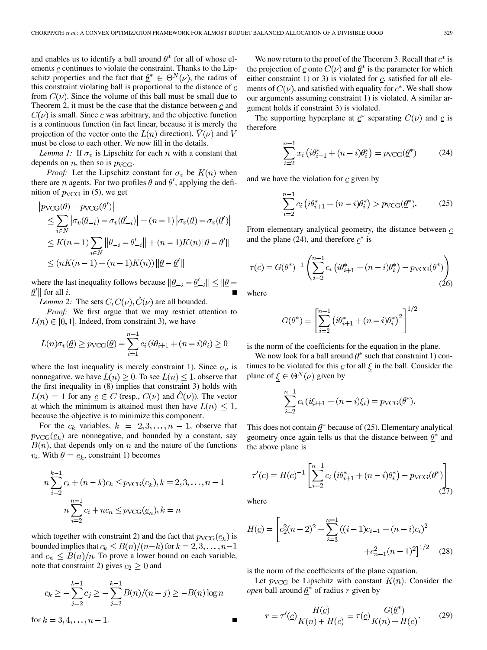and enables us to identify a ball around  $\theta^*$  for all of whose elements  $\mathbf c$  continues to violate the constraint. Thanks to the Lipschitz properties and the fact that  $\theta^* \in \Theta^N(\nu)$ , the radius of this constraint violating ball is proportional to the distance of  $c$ from  $C(\nu)$ . Since the volume of this ball must be small due to Theorem 2, it must be the case that the distance between  $c$  and  $C(\nu)$  is small. Since  $\underline{c}$  was arbitrary, and the objective function is a continuous function (in fact linear, because it is merely the projection of the vector onto the  $L(n)$  direction),  $\dot{V}(\nu)$  and V must be close to each other. We now fill in the details.

*Lemma 1:* If  $\sigma_v$  is Lipschitz for each n with a constant that depends on *n*, then so is  $p_{VCG}$ .

*Proof:* Let the Lipschitz constant for  $\sigma_v$  be  $K(n)$  when there are *n* agents. For two profiles  $\theta$  and  $\theta'$ , applying the definition of  $p_{VCG}$  in (5), we get

$$
|p_{\text{VCG}}(\underline{\theta}) - p_{\text{VCG}}(\underline{\theta}')|
$$
  
\n
$$
\leq \sum_{i \in N} |\sigma_v(\underline{\theta}_{-i}) - \sigma_v(\underline{\theta}'_{-i})| + (n-1) |\sigma_v(\underline{\theta}) - \sigma_v(\underline{\theta}')|
$$
  
\n
$$
\leq K(n-1) \sum_{i \in N} ||\underline{\theta}_{-i} - \underline{\theta}'_{-i}|| + (n-1)K(n)||\underline{\theta} - \underline{\theta}'||
$$
  
\n
$$
\leq (nK(n-1) + (n-1)K(n)) ||\underline{\theta} - \underline{\theta}'||
$$

where the last inequality follows because  $\|\underline{\theta}_{-i} - \underline{\theta}'_{-i}\| \le \|\underline{\theta} - \theta\|$  $\underline{\theta}'$  for all *i*.

*Lemma 2:* The sets  $C, C(\nu), \hat{C}(\nu)$  are all bounded.

*Proof:* We first argue that we may restrict attention to  $L(n) \in [0, 1]$ . Indeed, from constraint 3), we have

$$
L(n)\sigma_v(\underline{\theta}) \ge p_{\text{VCG}}(\underline{\theta}) - \sum_{i=1}^{n-1} c_i \left( i\theta_{i+1} + (n-i)\theta_i \right) \ge 0
$$

where the last inequality is merely constraint 1). Since  $\sigma_v$  is nonnegative, we have  $L(n) \geq 0$ . To see  $L(n) \leq 1$ , observe that the first inequality in (8) implies that constraint 3) holds with  $L(n) = 1$  for any  $c \in C$  (resp.,  $C(\nu)$  and  $\tilde{C}(\nu)$ ). The vector at which the minimum is attained must then have  $L(n) \leq 1$ , because the objective is to minimize this component.

For the  $c_k$  variables,  $k = 2, 3, ..., n - 1$ , observe that  $p_{\text{VCG}}(\underline{e}_k)$  are nonnegative, and bounded by a constant, say  $B(n)$ , that depends only on n and the nature of the functions  $v_i$ . With  $\underline{\theta} = \underline{e}_k$ , constraint 1) becomes

$$
n\sum_{i=2}^{k-1} c_i + (n-k)c_k \le p_{\text{VCG}}(e_k), k = 2, 3, ..., n-1
$$
  

$$
n\sum_{i=2}^{n-1} c_i + nc_n \le p_{\text{VCG}}(e_n), k = n
$$

which together with constraint 2) and the fact that  $p_{VCG}(\underline{e}_k)$  is bounded implies that  $c_k \leq B(n)/(n-k)$  for  $k = 2, 3, ..., n-1$ and  $c_n \leq B(n)/n$ . To prove a lower bound on each variable, note that constraint 2) gives  $c_2 \geq 0$  and

$$
c_k \ge -\sum_{j=2}^{k-1} c_j \ge -\sum_{j=2}^{k-1} B(n)/(n-j) \ge -B(n)\log n
$$

for  $k = 3, 4, ..., n - 1$ .

We now return to the proof of the Theorem 3. Recall that  $\underline{c}^*$  is the projection of  $\mathfrak c$  onto  $C(\nu)$  and  $\mathfrak h^*$  is the parameter for which either constraint 1) or 3) is violated for  $\mathfrak{c}$ , satisfied for all elements of  $C(\nu)$ , and satisfied with equality for  $c^*$ . We shall show our arguments assuming constraint 1) is violated. A similar argument holds if constraint 3) is violated.

The supporting hyperplane at  $c^*$  separating  $C(\nu)$  and  $c$  is therefore

$$
\sum_{i=2}^{n-1} x_i \left( i \theta_{i+1}^* + (n-i)\theta_i^* \right) = p_{\text{VCG}}(\underline{\theta}^*)
$$
 (24)

and we have the violation for  $\frac{c}{c}$  given by

$$
\sum_{i=2}^{n-1} c_i \left( i \theta_{i+1}^* + (n-i)\theta_i^* \right) > p_{\text{VCG}}(\underline{\theta}^*). \tag{25}
$$

From elementary analytical geometry, the distance between  $\mathfrak{c}$ and the plane (24), and therefore  $\underline{c}^*$  is

$$
\tau(\underline{c}) = G(\underline{\theta}^*)^{-1} \left( \sum_{i=2}^{n-1} c_i \left( i \theta_{i+1}^* + (n-i) \theta_i^* \right) - p_{\text{VCG}}(\underline{\theta}^*) \right) \tag{26}
$$

where

$$
G(\underline{\theta}^*) = \left[ \sum_{i=2}^{n-1} \left( i \theta_{i+1}^* + (n-i) \theta_i^* \right)^2 \right]^{1/2}
$$

is the norm of the coefficients for the equation in the plane.

We now look for a ball around  $\underline{\theta}^*$  such that constraint 1) continues to be violated for this  $\underline{c}$  for all  $\xi$  in the ball. Consider the plane of  $\xi \in \Theta^N(\nu)$  given by

$$
\sum_{i=2}^{n-1} c_i (i\xi_{i+1} + (n-i)\xi_i) = p_{\text{VCG}}(\underline{\theta}^*).
$$

This does not contain  $\underline{\theta}^*$  because of (25). Elementary analytical geometry once again tells us that the distance between  $\theta^*$  and the above plane is

$$
\tau'(\underline{c}) = H(\underline{c})^{-1} \left[ \sum_{i=2}^{n-1} c_i \left( i \theta_{i+1}^* + (n-i)\theta_i^* \right) - p_{\text{VCG}}(\underline{\theta}^*) \right] \tag{27}
$$

where

$$
H(\underline{c}) = \left[c_2^2(n-2)^2 + \sum_{i=3}^{n-1} ((i-1)c_{i-1} + (n-i)c_i)^2 + c_{n-1}^2(n-1)^2\right]^{1/2}
$$
 (28)

is the norm of the coefficients of the plane equation.

Let  $p_{VCG}$  be Lipschitz with constant  $K(n)$ . Consider the *open* ball around  $\underline{\theta}^*$  of radius r given by

$$
r = \tau'(c)\frac{H(c)}{K(n) + H(c)} = \tau(c)\frac{G(\underline{\theta}^*)}{K(n) + H(c)}.\tag{29}
$$

$$
\blacksquare
$$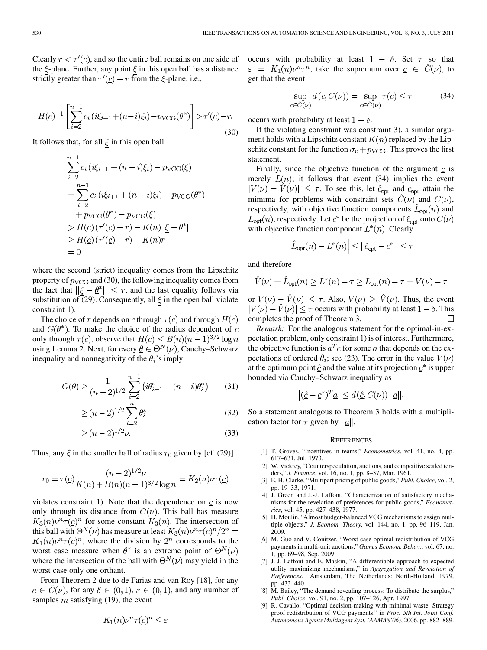Clearly  $r < \tau'(\underline{c})$ , and so the entire ball remains on one side of the  $\xi$ -plane. Further, any point  $\xi$  in this open ball has a distance strictly greater than  $\tau'(\underline{c}) - r$  from the  $\xi$ -plane, i.e.,

$$
H(\underline{c})^{-1} \left[ \sum_{i=2}^{n-1} c_i \left( i\xi_{i+1} + (n-i)\xi_i \right) - p_{\text{VCG}}(\underline{\theta}^*) \right] > \tau'(\underline{c}) - r.
$$
\n(30)

It follows that, for all  $\xi$  in this open ball

$$
\sum_{i=2}^{n-1} c_i (i\xi_{i+1} + (n-i)\xi_i) - p_{\text{VCG}}(\underline{\xi})
$$
  
= 
$$
\sum_{i=2}^{n-1} c_i (i\xi_{i+1} + (n-i)\xi_i) - p_{\text{VCG}}(\underline{\theta}^*)
$$
  
+ 
$$
p_{\text{VCG}}(\underline{\theta}^*) - p_{\text{VCG}}(\underline{\xi})
$$
  
> 
$$
H(\underline{c}) (\tau'(\underline{c}) - r) - K(n) ||\underline{\xi} - \underline{\theta}^*||
$$
  
\$\geq H(\underline{c}) (\tau'(\underline{c}) - r) - K(n)r\$  
= 0

where the second (strict) inequality comes from the Lipschitz property of  $p_{VCG}$  and (30), the following inequality comes from the fact that  $\|\xi - \underline{\theta}^*\| \leq r$ , and the last equality follows via substitution of (29). Consequently, all  $\xi$  in the open ball violate constraint 1).

The choice of r depends on  $\mathfrak{c}$  through  $\tau(\mathfrak{c})$  and through  $H(\mathfrak{c})$ and  $G(\underline{\theta}^*)$ . To make the choice of the radius dependent of  $\underline{c}$ only through  $\tau(\underline{c})$ , observe that  $H(\underline{c}) \leq B(n)(n-1)^{3/2} \log n$ using Lemma 2. Next, for every  $\underline{\theta} \in \Theta^N(\nu)$ , Cauchy–Schwarz inequality and nonnegativity of the  $\theta_i$ 's imply

$$
G(\underline{\theta}) \ge \frac{1}{(n-2)^{1/2}} \sum_{i=2}^{n-1} \left( i\theta_{i+1}^* + (n-i)\theta_i^* \right) \tag{31}
$$

$$
\geq (n-2)^{1/2} \sum_{i=2}^{n} \theta_i^* \tag{32}
$$

$$
\geq (n-2)^{1/2}\nu.
$$
 (33)

Thus, any  $\xi$  in the smaller ball of radius  $r_0$  given by [cf. (29)]

$$
r_0 = \tau(\underline{c}) \frac{(n-2)^{1/2} \nu}{K(n) + B(n)(n-1)^{3/2} \log n} = K_2(n) \nu \tau(\underline{c})
$$

violates constraint 1). Note that the dependence on  $c$  is now only through its distance from  $C(\nu)$ . This ball has measure  $K_3(n)\nu^n\tau(\underline{c})^n$  for some constant  $K_3(n)$ . The intersection of this ball with  $\Theta^N(\nu)$  has measure at least  $K_3(n)\nu^n\tau(\underline{c})^n/2^n =$  $K_1(n)\nu^n\tau(\underline{c})^n$ , where the division by  $2^n$  corresponds to the worst case measure when  $\underline{\theta}^*$  is an extreme point of  $\Theta^N(\nu)$ where the intersection of the ball with  $\Theta^{N}(\nu)$  may yield in the worst case only one orthant.

From Theorem 2 due to de Farias and van Roy [18], for any  $\underline{c} \in C(\nu)$ , for any  $\delta \in (0,1)$ ,  $\varepsilon \in (0,1)$ , and any number of samples  $m$  satisfying (19), the event

$$
K_1(n)\nu^n \tau(\underline{c})^n \le \varepsilon
$$

occurs with probability at least  $1 - \delta$ . Set  $\tau$  so that  $\varepsilon = K_1(n)\nu^n \tau^n$ , take the supremum over  $c \in \widehat{C}(\nu)$ , to get that the event

$$
\sup_{\underline{c}\in\hat{C}(\nu)} d(\underline{c}, C(\nu)) = \sup_{\underline{c}\in\hat{C}(\nu)} \tau(\underline{c}) \le \tau \tag{34}
$$

occurs with probability at least  $1 - \delta$ .

If the violating constraint was constraint 3), a similar argument holds with a Lipschitz constant  $K(n)$  replaced by the Lipschitz constant for the function  $\sigma_v + p_{\text{VCG}}$ . This proves the first statement.

Finally, since the objective function of the argument  $\mathbf{c}$  is merely  $L(n)$ , it follows that event (34) implies the event  $|V(\nu) - V(\nu)| \leq \tau$ . To see this, let  $\hat{c}_{opt}$  and  $c_{opt}$  attain the mimima for problems with constraint sets  $\hat{C}(\nu)$  and  $C(\nu)$ , respectively, with objective function components  $\ddot{L}_{\text{opt}}(n)$  and  $L_{\text{opt}}(n)$ , respectively. Let  $\underline{c}^*$  be the projection of  $\underline{\hat{c}}_{\text{opt}}$  onto  $C(\nu)$ with objective function component  $L^*(n)$ . Clearly

$$
\left|\hat{L}_{\text{opt}}(n) - L^*(n)\right| \le ||\hat{L}_{\text{opt}} - \underline{c}^*|| \le \tau
$$

and therefore

$$
\hat{V}(\nu) = \hat{L}_{\text{opt}}(n) \ge L^*(n) - \tau \ge L_{\text{opt}}(n) - \tau = V(\nu) - \tau
$$

or  $V(\nu) - \hat{V}(\nu) \leq \tau$ . Also,  $V(\nu) \geq \hat{V}(\nu)$ . Thus, the event  $|V(\nu) - \hat{V}(\nu)| \leq \tau$  occurs with probability at least  $1 - \delta$ . This completes the proof of Theorem 3.

*Remark:* For the analogous statement for the optimal-in-expectation problem, only constraint 1) is of interest. Furthermore, the objective function is  $a^T c$  for some  $a$  that depends on the expectations of ordered  $\theta_i$ ; see (23). The error in the value  $V(\nu)$ at the optimum point  $\hat{c}$  and the value at its projection  $\hat{c}^*$  is upper bounded via Cauchy–Schwarz inequality as

$$
\left| (\hat{\underline{c}} - \underline{c}^*)^T \underline{a} \right| \le d \left( \hat{\underline{c}}, C(\nu) \right) ||\underline{a}||.
$$

So a statement analogous to Theorem 3 holds with a multiplication factor for  $\tau$  given by  $||\underline{a}||$ .

#### **REFERENCES**

- [1] T. Groves, "Incentives in teams," *Econometrics*, vol. 41, no. 4, pp. 617–631, Jul. 1973.
- [2] W. Vickrey, "Counterspeculation, auctions, and competitive sealed tenders," *J. Finance*, vol. 16, no. 1, pp. 8–37, Mar. 1961.
- [3] E. H. Clarke, "Multipart pricing of public goods," *Publ. Choice*, vol. 2, pp. 19–33, 1971.
- [4] J. Green and J.-J. Laffont, "Characterization of satisfactory mechanisms for the revelation of preferences for public goods," *Econometrics*, vol. 45, pp. 427–438, 1977.
- [5] H. Moulin, "Almost budget-balanced VCG mechanisms to assign multiple objects," *J. Econom. Theory*, vol. 144, no. 1, pp. 96–119, Jan. 2009.
- [6] M. Guo and V. Conitzer, "Worst-case optimal redistribution of VCG payments in multi-unit auctions," *Games Econom. Behav.*, vol. 67, no. 1, pp. 69–98, Sep. 2009.
- [7] J.-J. Laffont and E. Maskin, "A differentiable approach to expected utility maximizing mechanisms," in *Aggregation and Revelation of Preferences*. Amsterdam, The Netherlands: North-Holland, 1979, pp. 433–440.
- [8] M. Bailey, "The demand revealing process: To distribute the surplus," *Publ. Choice*, vol. 91, no. 2, pp. 107–126, Apr. 1997.
- [9] R. Cavallo, "Optimal decision-making with minimal waste: Strategy proof redistribution of VCG payments," in *Proc. 5th Int. Joint Conf. Autonomous Agents Multiagent Syst. (AAMAS'06)*, 2006, pp. 882–889.